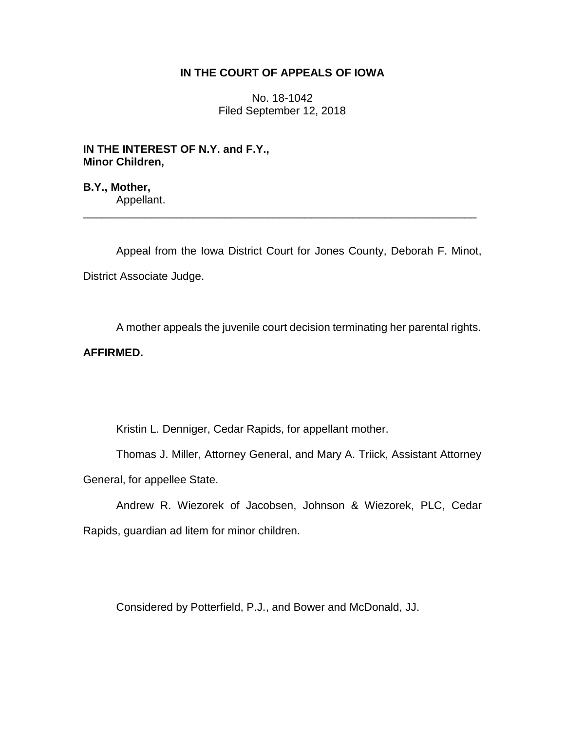## **IN THE COURT OF APPEALS OF IOWA**

No. 18-1042 Filed September 12, 2018

**IN THE INTEREST OF N.Y. and F.Y., Minor Children,**

**B.Y., Mother,** Appellant.

Appeal from the Iowa District Court for Jones County, Deborah F. Minot, District Associate Judge.

\_\_\_\_\_\_\_\_\_\_\_\_\_\_\_\_\_\_\_\_\_\_\_\_\_\_\_\_\_\_\_\_\_\_\_\_\_\_\_\_\_\_\_\_\_\_\_\_\_\_\_\_\_\_\_\_\_\_\_\_\_\_\_\_

A mother appeals the juvenile court decision terminating her parental rights.

# **AFFIRMED.**

Kristin L. Denniger, Cedar Rapids, for appellant mother.

Thomas J. Miller, Attorney General, and Mary A. Triick, Assistant Attorney General, for appellee State.

Andrew R. Wiezorek of Jacobsen, Johnson & Wiezorek, PLC, Cedar Rapids, guardian ad litem for minor children.

Considered by Potterfield, P.J., and Bower and McDonald, JJ.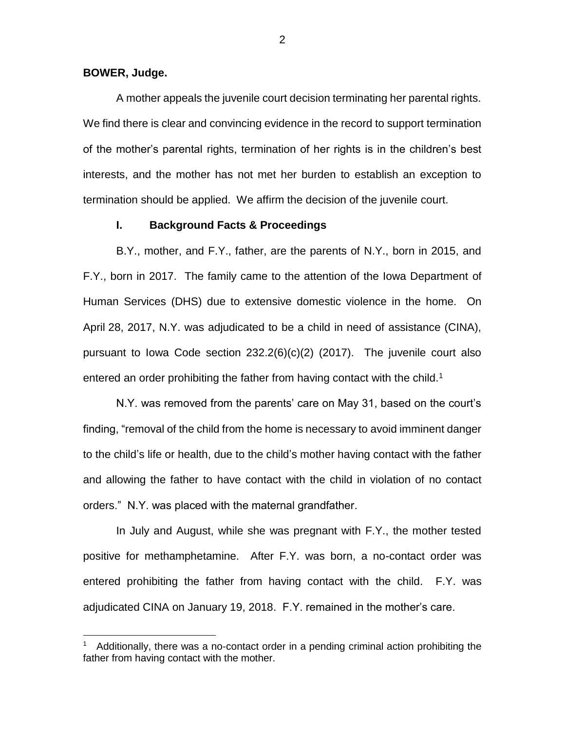#### **BOWER, Judge.**

 $\overline{a}$ 

A mother appeals the juvenile court decision terminating her parental rights. We find there is clear and convincing evidence in the record to support termination of the mother's parental rights, termination of her rights is in the children's best interests, and the mother has not met her burden to establish an exception to termination should be applied. We affirm the decision of the juvenile court.

## **I. Background Facts & Proceedings**

B.Y., mother, and F.Y., father, are the parents of N.Y., born in 2015, and F.Y., born in 2017. The family came to the attention of the Iowa Department of Human Services (DHS) due to extensive domestic violence in the home. On April 28, 2017, N.Y. was adjudicated to be a child in need of assistance (CINA), pursuant to Iowa Code section 232.2(6)(c)(2) (2017). The juvenile court also entered an order prohibiting the father from having contact with the child.<sup>1</sup>

N.Y. was removed from the parents' care on May 31, based on the court's finding, "removal of the child from the home is necessary to avoid imminent danger to the child's life or health, due to the child's mother having contact with the father and allowing the father to have contact with the child in violation of no contact orders." N.Y. was placed with the maternal grandfather.

In July and August, while she was pregnant with F.Y., the mother tested positive for methamphetamine. After F.Y. was born, a no-contact order was entered prohibiting the father from having contact with the child. F.Y. was adjudicated CINA on January 19, 2018. F.Y. remained in the mother's care.

<sup>&</sup>lt;sup>1</sup> Additionally, there was a no-contact order in a pending criminal action prohibiting the father from having contact with the mother.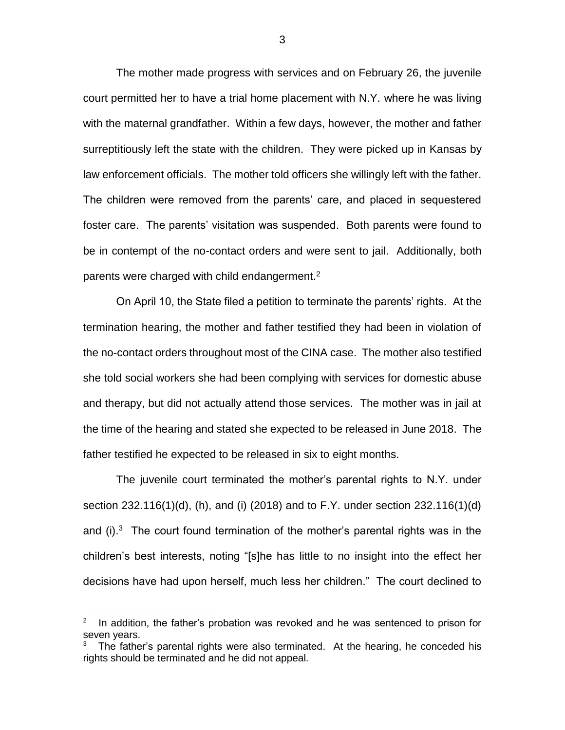The mother made progress with services and on February 26, the juvenile court permitted her to have a trial home placement with N.Y. where he was living with the maternal grandfather. Within a few days, however, the mother and father surreptitiously left the state with the children. They were picked up in Kansas by law enforcement officials. The mother told officers she willingly left with the father. The children were removed from the parents' care, and placed in sequestered foster care. The parents' visitation was suspended. Both parents were found to be in contempt of the no-contact orders and were sent to jail. Additionally, both parents were charged with child endangerment.<sup>2</sup>

On April 10, the State filed a petition to terminate the parents' rights. At the termination hearing, the mother and father testified they had been in violation of the no-contact orders throughout most of the CINA case. The mother also testified she told social workers she had been complying with services for domestic abuse and therapy, but did not actually attend those services. The mother was in jail at the time of the hearing and stated she expected to be released in June 2018. The father testified he expected to be released in six to eight months.

The juvenile court terminated the mother's parental rights to N.Y. under section 232.116(1)(d), (h), and (i) (2018) and to F.Y. under section 232.116(1)(d) and  $(i)$ .<sup>3</sup> The court found termination of the mother's parental rights was in the children's best interests, noting "[s]he has little to no insight into the effect her decisions have had upon herself, much less her children." The court declined to

 $\overline{a}$ 

<sup>2</sup> In addition, the father's probation was revoked and he was sentenced to prison for seven years.

<sup>3</sup> The father's parental rights were also terminated. At the hearing, he conceded his rights should be terminated and he did not appeal.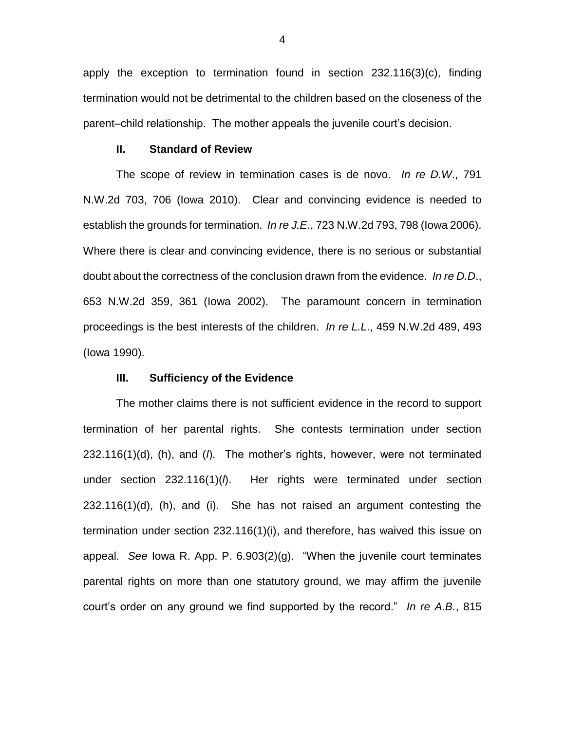apply the exception to termination found in section 232.116(3)(c), finding termination would not be detrimental to the children based on the closeness of the parent–child relationship. The mother appeals the juvenile court's decision.

### **II. Standard of Review**

The scope of review in termination cases is de novo. *In re D.W*., 791 N.W.2d 703, 706 (Iowa 2010). Clear and convincing evidence is needed to establish the grounds for termination. *In re J.E*., 723 N.W.2d 793, 798 (Iowa 2006). Where there is clear and convincing evidence, there is no serious or substantial doubt about the correctness of the conclusion drawn from the evidence. *In re D.D*., 653 N.W.2d 359, 361 (Iowa 2002). The paramount concern in termination proceedings is the best interests of the children. *In re L.L*., 459 N.W.2d 489, 493 (Iowa 1990).

#### **III. Sufficiency of the Evidence**

The mother claims there is not sufficient evidence in the record to support termination of her parental rights. She contests termination under section 232.116(1)(d), (h), and (*l*). The mother's rights, however, were not terminated under section 232.116(1)(*l*). Her rights were terminated under section 232.116(1)(d), (h), and (i). She has not raised an argument contesting the termination under section 232.116(1)(i), and therefore, has waived this issue on appeal. *See* Iowa R. App. P. 6.903(2)(g). "When the juvenile court terminates parental rights on more than one statutory ground, we may affirm the juvenile court's order on any ground we find supported by the record." *In re A.B.*, 815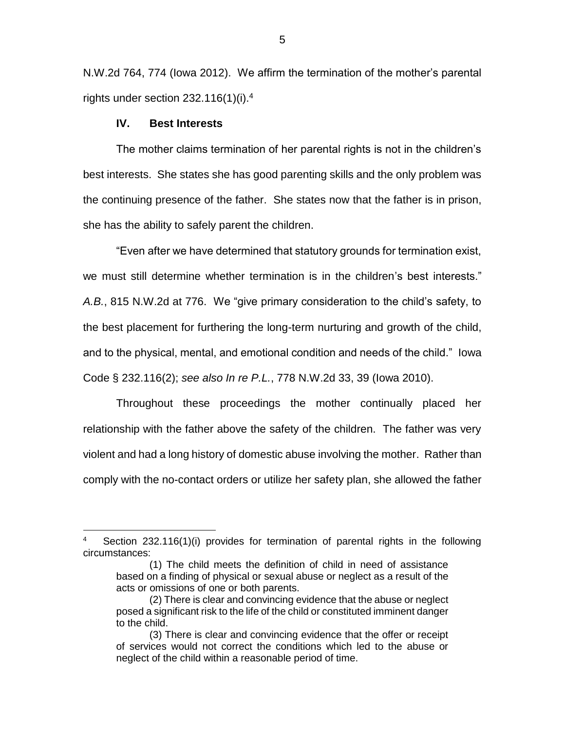N.W.2d 764, 774 (Iowa 2012). We affirm the termination of the mother's parental rights under section  $232.116(1)(i).<sup>4</sup>$ 

### **IV. Best Interests**

 $\overline{a}$ 

The mother claims termination of her parental rights is not in the children's best interests. She states she has good parenting skills and the only problem was the continuing presence of the father. She states now that the father is in prison, she has the ability to safely parent the children.

"Even after we have determined that statutory grounds for termination exist, we must still determine whether termination is in the children's best interests." *A.B.*, 815 N.W.2d at 776. We "give primary consideration to the child's safety, to the best placement for furthering the long-term nurturing and growth of the child, and to the physical, mental, and emotional condition and needs of the child." Iowa Code § 232.116(2); *see also In re P.L.*, 778 N.W.2d 33, 39 (Iowa 2010).

Throughout these proceedings the mother continually placed her relationship with the father above the safety of the children. The father was very violent and had a long history of domestic abuse involving the mother. Rather than comply with the no-contact orders or utilize her safety plan, she allowed the father

<sup>4</sup> Section 232.116(1)(i) provides for termination of parental rights in the following circumstances:

<sup>(1)</sup> The child meets the definition of child in need of assistance based on a finding of physical or sexual abuse or neglect as a result of the acts or omissions of one or both parents.

<sup>(2)</sup> There is clear and convincing evidence that the abuse or neglect posed a significant risk to the life of the child or constituted imminent danger to the child.

<sup>(3)</sup> There is clear and convincing evidence that the offer or receipt of services would not correct the conditions which led to the abuse or neglect of the child within a reasonable period of time.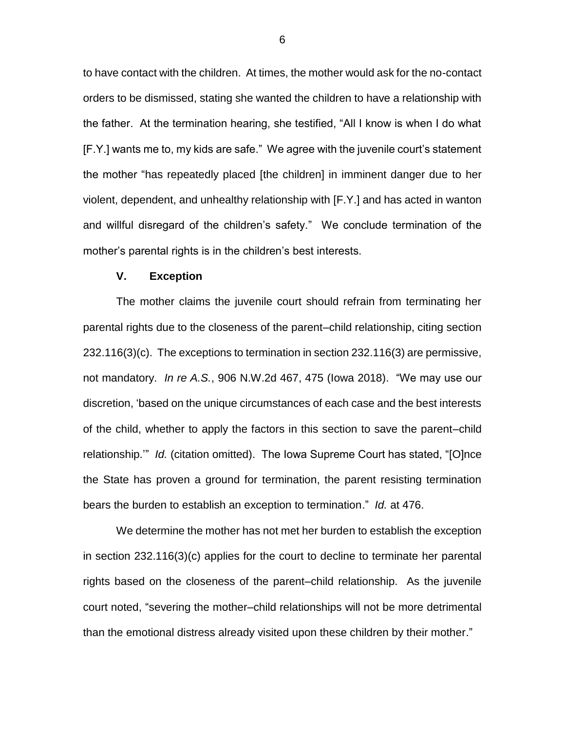to have contact with the children. At times, the mother would ask for the no-contact orders to be dismissed, stating she wanted the children to have a relationship with the father. At the termination hearing, she testified, "All I know is when I do what [F.Y.] wants me to, my kids are safe." We agree with the juvenile court's statement the mother "has repeatedly placed [the children] in imminent danger due to her violent, dependent, and unhealthy relationship with [F.Y.] and has acted in wanton and willful disregard of the children's safety." We conclude termination of the mother's parental rights is in the children's best interests.

### **V. Exception**

The mother claims the juvenile court should refrain from terminating her parental rights due to the closeness of the parent–child relationship, citing section 232.116(3)(c). The exceptions to termination in section 232.116(3) are permissive, not mandatory. *In re A.S.*, 906 N.W.2d 467, 475 (Iowa 2018). "We may use our discretion, 'based on the unique circumstances of each case and the best interests of the child, whether to apply the factors in this section to save the parent–child relationship.'" *Id.* (citation omitted). The Iowa Supreme Court has stated, "[O]nce the State has proven a ground for termination, the parent resisting termination bears the burden to establish an exception to termination." *Id.* at 476.

We determine the mother has not met her burden to establish the exception in section 232.116(3)(c) applies for the court to decline to terminate her parental rights based on the closeness of the parent–child relationship. As the juvenile court noted, "severing the mother–child relationships will not be more detrimental than the emotional distress already visited upon these children by their mother."